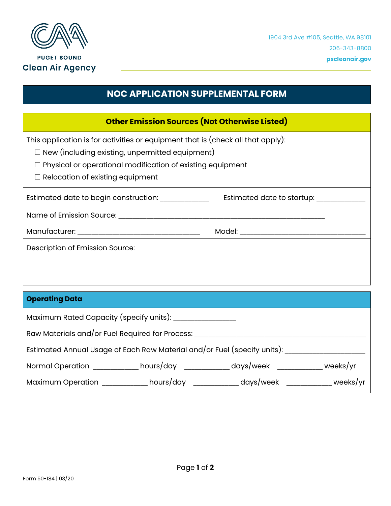

## **NOC APPLICATION SUPPLEMENTAL FORM**

| <b>Other Emission Sources (Not Otherwise Listed)</b>                            |                            |  |
|---------------------------------------------------------------------------------|----------------------------|--|
| This application is for activities or equipment that is (check all that apply): |                            |  |
| $\Box$ New (including existing, unpermitted equipment)                          |                            |  |
| Physical or operational modification of existing equipment                      |                            |  |
| $\Box$ Relocation of existing equipment                                         |                            |  |
| Estimated date to begin construction:                                           | Estimated date to startup: |  |
| Name of Emission Source:                                                        |                            |  |
|                                                                                 |                            |  |
| Description of Emission Source:                                                 |                            |  |
|                                                                                 |                            |  |
|                                                                                 |                            |  |

| <b>Operating Data</b>                                                    |                     |                   |          |
|--------------------------------------------------------------------------|---------------------|-------------------|----------|
| Maximum Rated Capacity (specify units):                                  |                     |                   |          |
| Raw Materials and/or Fuel Required for Process:                          |                     |                   |          |
| Estimated Annual Usage of Each Raw Material and/or Fuel (specify units): |                     |                   |          |
| Normal Operation                                                         | hours/day _________ | days/week _______ | weeks/yr |
| <b>Maximum Operation</b>                                                 | hours/day           | days/week         | weeks/yr |